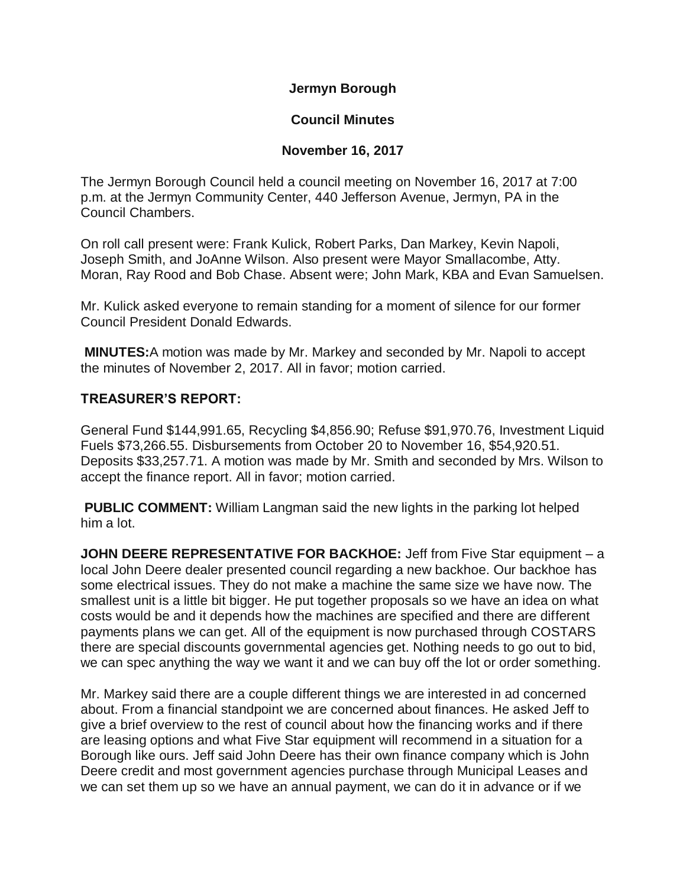**Jermyn Borough**

# **Council Minutes**

# **November 16, 2017**

The Jermyn Borough Council held a council meeting on November 16, 2017 at 7:00 p.m. at the Jermyn Community Center, 440 Jefferson Avenue, Jermyn, PA in the Council Chambers.

On roll call present were: Frank Kulick, Robert Parks, Dan Markey, Kevin Napoli, Joseph Smith, and JoAnne Wilson. Also present were Mayor Smallacombe, Atty. Moran, Ray Rood and Bob Chase. Absent were; John Mark, KBA and Evan Samuelsen.

Mr. Kulick asked everyone to remain standing for a moment of silence for our former Council President Donald Edwards.

**MINUTES:**A motion was made by Mr. Markey and seconded by Mr. Napoli to accept the minutes of November 2, 2017. All in favor; motion carried.

# **TREASURER'S REPORT:**

General Fund \$144,991.65, Recycling \$4,856.90; Refuse \$91,970.76, Investment Liquid Fuels \$73,266.55. Disbursements from October 20 to November 16, \$54,920.51. Deposits \$33,257.71. A motion was made by Mr. Smith and seconded by Mrs. Wilson to accept the finance report. All in favor; motion carried.

**PUBLIC COMMENT:** William Langman said the new lights in the parking lot helped him a lot.

**JOHN DEERE REPRESENTATIVE FOR BACKHOE:** Jeff from Five Star equipment – a local John Deere dealer presented council regarding a new backhoe. Our backhoe has some electrical issues. They do not make a machine the same size we have now. The smallest unit is a little bit bigger. He put together proposals so we have an idea on what costs would be and it depends how the machines are specified and there are different payments plans we can get. All of the equipment is now purchased through COSTARS there are special discounts governmental agencies get. Nothing needs to go out to bid, we can spec anything the way we want it and we can buy off the lot or order something.

Mr. Markey said there are a couple different things we are interested in ad concerned about. From a financial standpoint we are concerned about finances. He asked Jeff to give a brief overview to the rest of council about how the financing works and if there are leasing options and what Five Star equipment will recommend in a situation for a Borough like ours. Jeff said John Deere has their own finance company which is John Deere credit and most government agencies purchase through Municipal Leases and we can set them up so we have an annual payment, we can do it in advance or if we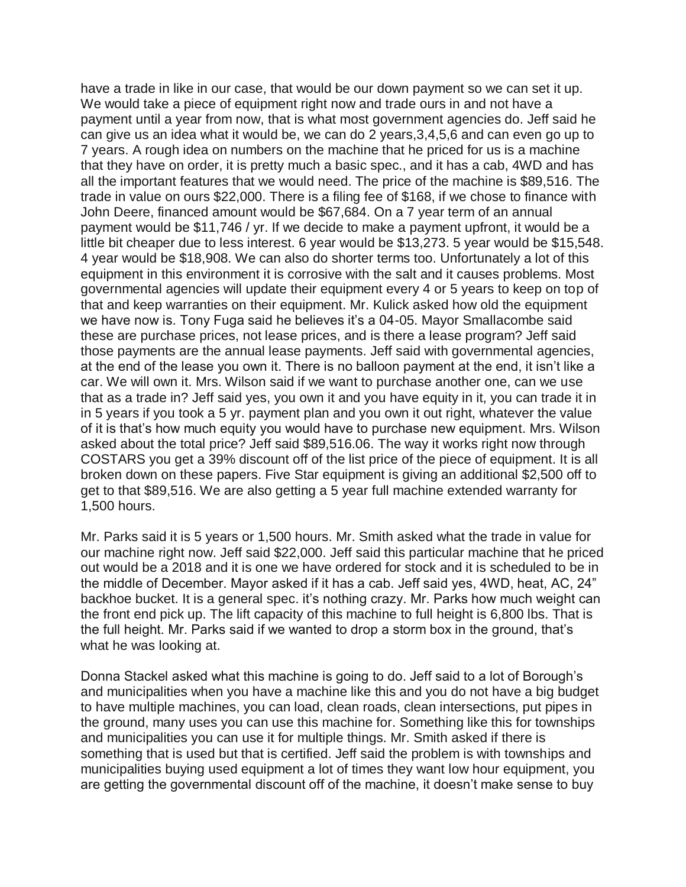have a trade in like in our case, that would be our down payment so we can set it up. We would take a piece of equipment right now and trade ours in and not have a payment until a year from now, that is what most government agencies do. Jeff said he can give us an idea what it would be, we can do 2 years,3,4,5,6 and can even go up to 7 years. A rough idea on numbers on the machine that he priced for us is a machine that they have on order, it is pretty much a basic spec., and it has a cab, 4WD and has all the important features that we would need. The price of the machine is \$89,516. The trade in value on ours \$22,000. There is a filing fee of \$168, if we chose to finance with John Deere, financed amount would be \$67,684. On a 7 year term of an annual payment would be \$11,746 / yr. If we decide to make a payment upfront, it would be a little bit cheaper due to less interest. 6 year would be \$13,273. 5 year would be \$15,548. 4 year would be \$18,908. We can also do shorter terms too. Unfortunately a lot of this equipment in this environment it is corrosive with the salt and it causes problems. Most governmental agencies will update their equipment every 4 or 5 years to keep on top of that and keep warranties on their equipment. Mr. Kulick asked how old the equipment we have now is. Tony Fuga said he believes it's a 04-05. Mayor Smallacombe said these are purchase prices, not lease prices, and is there a lease program? Jeff said those payments are the annual lease payments. Jeff said with governmental agencies, at the end of the lease you own it. There is no balloon payment at the end, it isn't like a car. We will own it. Mrs. Wilson said if we want to purchase another one, can we use that as a trade in? Jeff said yes, you own it and you have equity in it, you can trade it in in 5 years if you took a 5 yr. payment plan and you own it out right, whatever the value of it is that's how much equity you would have to purchase new equipment. Mrs. Wilson asked about the total price? Jeff said \$89,516.06. The way it works right now through COSTARS you get a 39% discount off of the list price of the piece of equipment. It is all broken down on these papers. Five Star equipment is giving an additional \$2,500 off to get to that \$89,516. We are also getting a 5 year full machine extended warranty for 1,500 hours.

Mr. Parks said it is 5 years or 1,500 hours. Mr. Smith asked what the trade in value for our machine right now. Jeff said \$22,000. Jeff said this particular machine that he priced out would be a 2018 and it is one we have ordered for stock and it is scheduled to be in the middle of December. Mayor asked if it has a cab. Jeff said yes, 4WD, heat, AC, 24" backhoe bucket. It is a general spec. it's nothing crazy. Mr. Parks how much weight can the front end pick up. The lift capacity of this machine to full height is 6,800 lbs. That is the full height. Mr. Parks said if we wanted to drop a storm box in the ground, that's what he was looking at.

Donna Stackel asked what this machine is going to do. Jeff said to a lot of Borough's and municipalities when you have a machine like this and you do not have a big budget to have multiple machines, you can load, clean roads, clean intersections, put pipes in the ground, many uses you can use this machine for. Something like this for townships and municipalities you can use it for multiple things. Mr. Smith asked if there is something that is used but that is certified. Jeff said the problem is with townships and municipalities buying used equipment a lot of times they want low hour equipment, you are getting the governmental discount off of the machine, it doesn't make sense to buy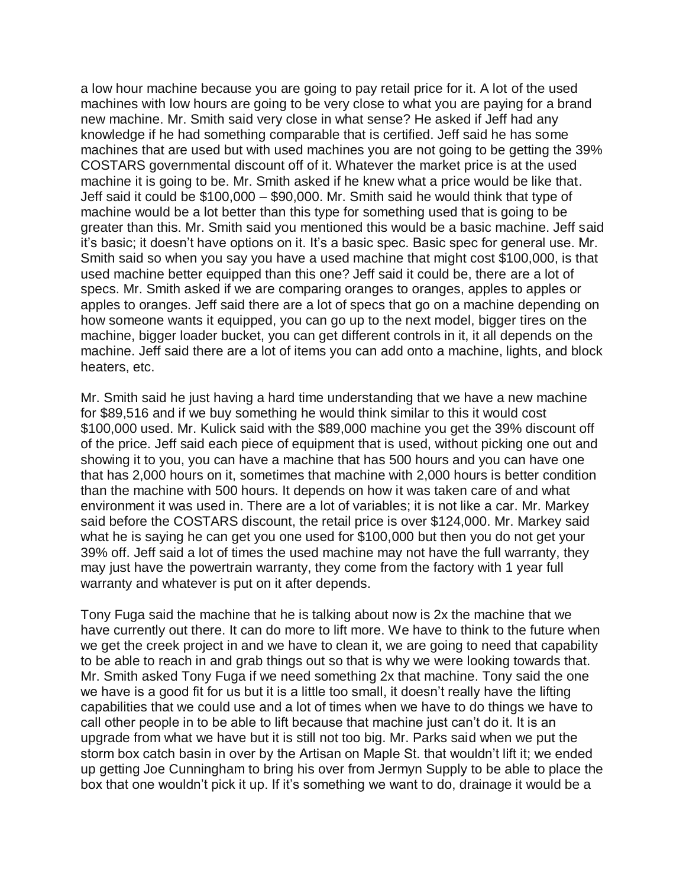a low hour machine because you are going to pay retail price for it. A lot of the used machines with low hours are going to be very close to what you are paying for a brand new machine. Mr. Smith said very close in what sense? He asked if Jeff had any knowledge if he had something comparable that is certified. Jeff said he has some machines that are used but with used machines you are not going to be getting the 39% COSTARS governmental discount off of it. Whatever the market price is at the used machine it is going to be. Mr. Smith asked if he knew what a price would be like that. Jeff said it could be \$100,000 – \$90,000. Mr. Smith said he would think that type of machine would be a lot better than this type for something used that is going to be greater than this. Mr. Smith said you mentioned this would be a basic machine. Jeff said it's basic; it doesn't have options on it. It's a basic spec. Basic spec for general use. Mr. Smith said so when you say you have a used machine that might cost \$100,000, is that used machine better equipped than this one? Jeff said it could be, there are a lot of specs. Mr. Smith asked if we are comparing oranges to oranges, apples to apples or apples to oranges. Jeff said there are a lot of specs that go on a machine depending on how someone wants it equipped, you can go up to the next model, bigger tires on the machine, bigger loader bucket, you can get different controls in it, it all depends on the machine. Jeff said there are a lot of items you can add onto a machine, lights, and block heaters, etc.

Mr. Smith said he just having a hard time understanding that we have a new machine for \$89,516 and if we buy something he would think similar to this it would cost \$100,000 used. Mr. Kulick said with the \$89,000 machine you get the 39% discount off of the price. Jeff said each piece of equipment that is used, without picking one out and showing it to you, you can have a machine that has 500 hours and you can have one that has 2,000 hours on it, sometimes that machine with 2,000 hours is better condition than the machine with 500 hours. It depends on how it was taken care of and what environment it was used in. There are a lot of variables; it is not like a car. Mr. Markey said before the COSTARS discount, the retail price is over \$124,000. Mr. Markey said what he is saying he can get you one used for \$100,000 but then you do not get your 39% off. Jeff said a lot of times the used machine may not have the full warranty, they may just have the powertrain warranty, they come from the factory with 1 year full warranty and whatever is put on it after depends.

Tony Fuga said the machine that he is talking about now is 2x the machine that we have currently out there. It can do more to lift more. We have to think to the future when we get the creek project in and we have to clean it, we are going to need that capability to be able to reach in and grab things out so that is why we were looking towards that. Mr. Smith asked Tony Fuga if we need something 2x that machine. Tony said the one we have is a good fit for us but it is a little too small, it doesn't really have the lifting capabilities that we could use and a lot of times when we have to do things we have to call other people in to be able to lift because that machine just can't do it. It is an upgrade from what we have but it is still not too big. Mr. Parks said when we put the storm box catch basin in over by the Artisan on Maple St. that wouldn't lift it; we ended up getting Joe Cunningham to bring his over from Jermyn Supply to be able to place the box that one wouldn't pick it up. If it's something we want to do, drainage it would be a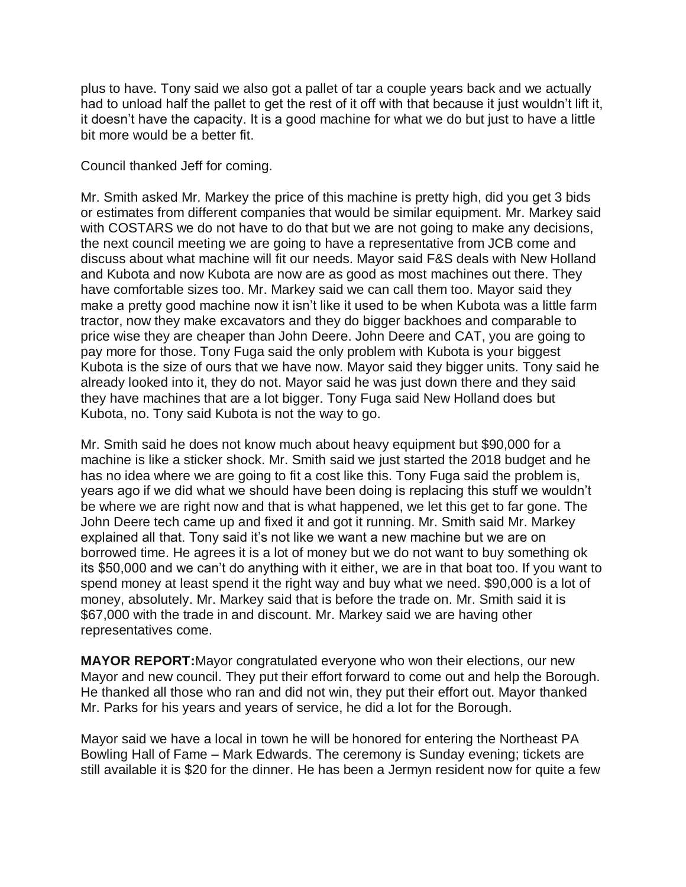plus to have. Tony said we also got a pallet of tar a couple years back and we actually had to unload half the pallet to get the rest of it off with that because it just wouldn't lift it, it doesn't have the capacity. It is a good machine for what we do but just to have a little bit more would be a better fit.

## Council thanked Jeff for coming.

Mr. Smith asked Mr. Markey the price of this machine is pretty high, did you get 3 bids or estimates from different companies that would be similar equipment. Mr. Markey said with COSTARS we do not have to do that but we are not going to make any decisions, the next council meeting we are going to have a representative from JCB come and discuss about what machine will fit our needs. Mayor said F&S deals with New Holland and Kubota and now Kubota are now are as good as most machines out there. They have comfortable sizes too. Mr. Markey said we can call them too. Mayor said they make a pretty good machine now it isn't like it used to be when Kubota was a little farm tractor, now they make excavators and they do bigger backhoes and comparable to price wise they are cheaper than John Deere. John Deere and CAT, you are going to pay more for those. Tony Fuga said the only problem with Kubota is your biggest Kubota is the size of ours that we have now. Mayor said they bigger units. Tony said he already looked into it, they do not. Mayor said he was just down there and they said they have machines that are a lot bigger. Tony Fuga said New Holland does but Kubota, no. Tony said Kubota is not the way to go.

Mr. Smith said he does not know much about heavy equipment but \$90,000 for a machine is like a sticker shock. Mr. Smith said we just started the 2018 budget and he has no idea where we are going to fit a cost like this. Tony Fuga said the problem is, years ago if we did what we should have been doing is replacing this stuff we wouldn't be where we are right now and that is what happened, we let this get to far gone. The John Deere tech came up and fixed it and got it running. Mr. Smith said Mr. Markey explained all that. Tony said it's not like we want a new machine but we are on borrowed time. He agrees it is a lot of money but we do not want to buy something ok its \$50,000 and we can't do anything with it either, we are in that boat too. If you want to spend money at least spend it the right way and buy what we need. \$90,000 is a lot of money, absolutely. Mr. Markey said that is before the trade on. Mr. Smith said it is \$67,000 with the trade in and discount. Mr. Markey said we are having other representatives come.

**MAYOR REPORT:**Mayor congratulated everyone who won their elections, our new Mayor and new council. They put their effort forward to come out and help the Borough. He thanked all those who ran and did not win, they put their effort out. Mayor thanked Mr. Parks for his years and years of service, he did a lot for the Borough.

Mayor said we have a local in town he will be honored for entering the Northeast PA Bowling Hall of Fame – Mark Edwards. The ceremony is Sunday evening; tickets are still available it is \$20 for the dinner. He has been a Jermyn resident now for quite a few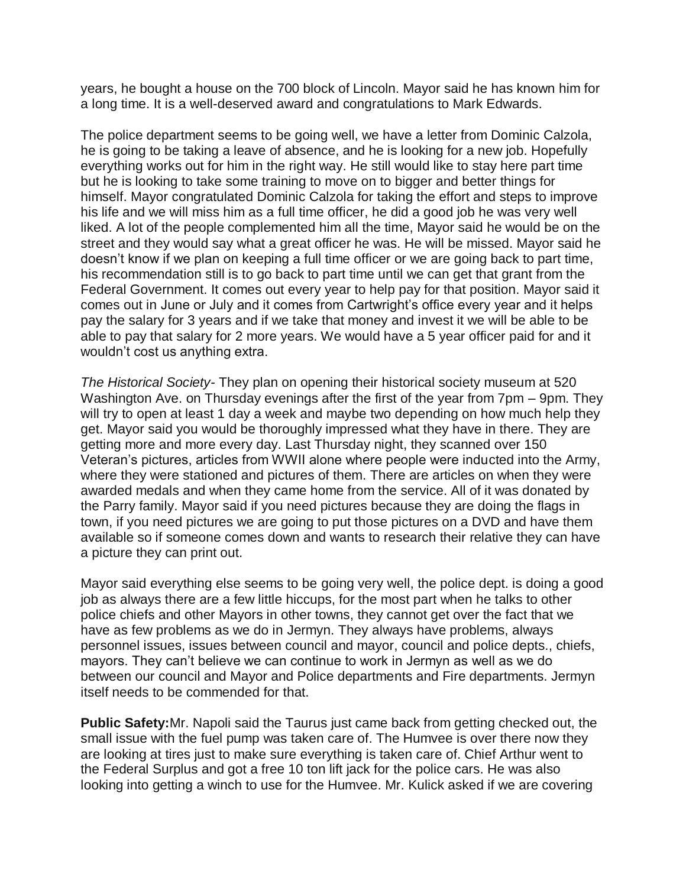years, he bought a house on the 700 block of Lincoln. Mayor said he has known him for a long time. It is a well-deserved award and congratulations to Mark Edwards.

The police department seems to be going well, we have a letter from Dominic Calzola, he is going to be taking a leave of absence, and he is looking for a new job. Hopefully everything works out for him in the right way. He still would like to stay here part time but he is looking to take some training to move on to bigger and better things for himself. Mayor congratulated Dominic Calzola for taking the effort and steps to improve his life and we will miss him as a full time officer, he did a good job he was very well liked. A lot of the people complemented him all the time, Mayor said he would be on the street and they would say what a great officer he was. He will be missed. Mayor said he doesn't know if we plan on keeping a full time officer or we are going back to part time, his recommendation still is to go back to part time until we can get that grant from the Federal Government. It comes out every year to help pay for that position. Mayor said it comes out in June or July and it comes from Cartwright's office every year and it helps pay the salary for 3 years and if we take that money and invest it we will be able to be able to pay that salary for 2 more years. We would have a 5 year officer paid for and it wouldn't cost us anything extra.

*The Historical Society-* They plan on opening their historical society museum at 520 Washington Ave. on Thursday evenings after the first of the year from 7pm – 9pm. They will try to open at least 1 day a week and maybe two depending on how much help they get. Mayor said you would be thoroughly impressed what they have in there. They are getting more and more every day. Last Thursday night, they scanned over 150 Veteran's pictures, articles from WWII alone where people were inducted into the Army, where they were stationed and pictures of them. There are articles on when they were awarded medals and when they came home from the service. All of it was donated by the Parry family. Mayor said if you need pictures because they are doing the flags in town, if you need pictures we are going to put those pictures on a DVD and have them available so if someone comes down and wants to research their relative they can have a picture they can print out.

Mayor said everything else seems to be going very well, the police dept. is doing a good job as always there are a few little hiccups, for the most part when he talks to other police chiefs and other Mayors in other towns, they cannot get over the fact that we have as few problems as we do in Jermyn. They always have problems, always personnel issues, issues between council and mayor, council and police depts., chiefs, mayors. They can't believe we can continue to work in Jermyn as well as we do between our council and Mayor and Police departments and Fire departments. Jermyn itself needs to be commended for that.

**Public Safety:**Mr. Napoli said the Taurus just came back from getting checked out, the small issue with the fuel pump was taken care of. The Humvee is over there now they are looking at tires just to make sure everything is taken care of. Chief Arthur went to the Federal Surplus and got a free 10 ton lift jack for the police cars. He was also looking into getting a winch to use for the Humvee. Mr. Kulick asked if we are covering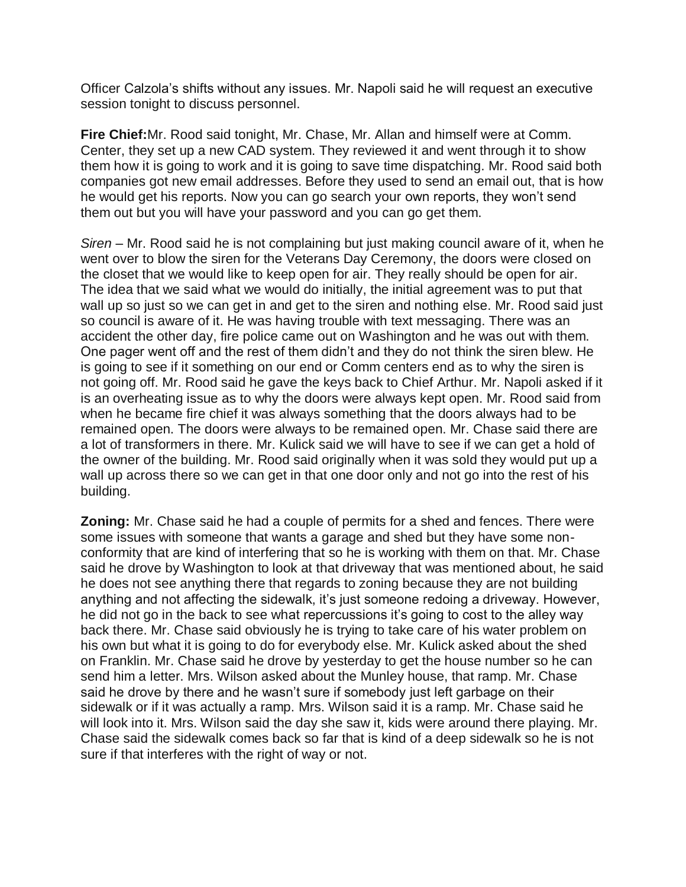Officer Calzola's shifts without any issues. Mr. Napoli said he will request an executive session tonight to discuss personnel.

**Fire Chief:**Mr. Rood said tonight, Mr. Chase, Mr. Allan and himself were at Comm. Center, they set up a new CAD system. They reviewed it and went through it to show them how it is going to work and it is going to save time dispatching. Mr. Rood said both companies got new email addresses. Before they used to send an email out, that is how he would get his reports. Now you can go search your own reports, they won't send them out but you will have your password and you can go get them.

*Siren –* Mr. Rood said he is not complaining but just making council aware of it, when he went over to blow the siren for the Veterans Day Ceremony, the doors were closed on the closet that we would like to keep open for air. They really should be open for air. The idea that we said what we would do initially, the initial agreement was to put that wall up so just so we can get in and get to the siren and nothing else. Mr. Rood said just so council is aware of it. He was having trouble with text messaging. There was an accident the other day, fire police came out on Washington and he was out with them. One pager went off and the rest of them didn't and they do not think the siren blew. He is going to see if it something on our end or Comm centers end as to why the siren is not going off. Mr. Rood said he gave the keys back to Chief Arthur. Mr. Napoli asked if it is an overheating issue as to why the doors were always kept open. Mr. Rood said from when he became fire chief it was always something that the doors always had to be remained open. The doors were always to be remained open. Mr. Chase said there are a lot of transformers in there. Mr. Kulick said we will have to see if we can get a hold of the owner of the building. Mr. Rood said originally when it was sold they would put up a wall up across there so we can get in that one door only and not go into the rest of his building.

**Zoning:** Mr. Chase said he had a couple of permits for a shed and fences. There were some issues with someone that wants a garage and shed but they have some nonconformity that are kind of interfering that so he is working with them on that. Mr. Chase said he drove by Washington to look at that driveway that was mentioned about, he said he does not see anything there that regards to zoning because they are not building anything and not affecting the sidewalk, it's just someone redoing a driveway. However, he did not go in the back to see what repercussions it's going to cost to the alley way back there. Mr. Chase said obviously he is trying to take care of his water problem on his own but what it is going to do for everybody else. Mr. Kulick asked about the shed on Franklin. Mr. Chase said he drove by yesterday to get the house number so he can send him a letter. Mrs. Wilson asked about the Munley house, that ramp. Mr. Chase said he drove by there and he wasn't sure if somebody just left garbage on their sidewalk or if it was actually a ramp. Mrs. Wilson said it is a ramp. Mr. Chase said he will look into it. Mrs. Wilson said the day she saw it, kids were around there playing. Mr. Chase said the sidewalk comes back so far that is kind of a deep sidewalk so he is not sure if that interferes with the right of way or not.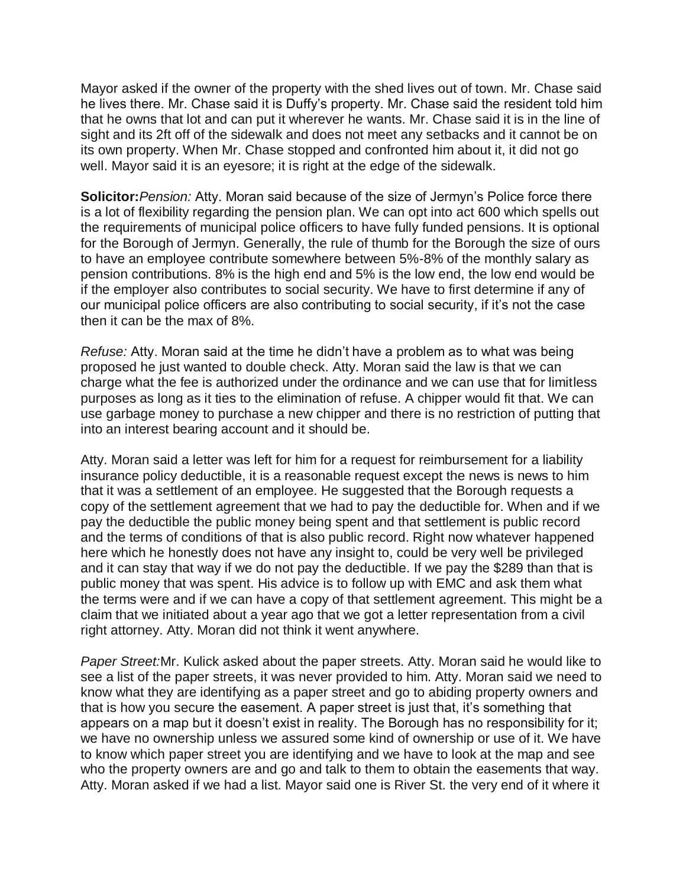Mayor asked if the owner of the property with the shed lives out of town. Mr. Chase said he lives there. Mr. Chase said it is Duffy's property. Mr. Chase said the resident told him that he owns that lot and can put it wherever he wants. Mr. Chase said it is in the line of sight and its 2ft off of the sidewalk and does not meet any setbacks and it cannot be on its own property. When Mr. Chase stopped and confronted him about it, it did not go well. Mayor said it is an eyesore; it is right at the edge of the sidewalk.

**Solicitor:***Pension:* Atty. Moran said because of the size of Jermyn's Police force there is a lot of flexibility regarding the pension plan. We can opt into act 600 which spells out the requirements of municipal police officers to have fully funded pensions. It is optional for the Borough of Jermyn. Generally, the rule of thumb for the Borough the size of ours to have an employee contribute somewhere between 5%-8% of the monthly salary as pension contributions. 8% is the high end and 5% is the low end, the low end would be if the employer also contributes to social security. We have to first determine if any of our municipal police officers are also contributing to social security, if it's not the case then it can be the max of 8%.

*Refuse:* Atty. Moran said at the time he didn't have a problem as to what was being proposed he just wanted to double check. Atty. Moran said the law is that we can charge what the fee is authorized under the ordinance and we can use that for limitless purposes as long as it ties to the elimination of refuse. A chipper would fit that. We can use garbage money to purchase a new chipper and there is no restriction of putting that into an interest bearing account and it should be.

Atty. Moran said a letter was left for him for a request for reimbursement for a liability insurance policy deductible, it is a reasonable request except the news is news to him that it was a settlement of an employee. He suggested that the Borough requests a copy of the settlement agreement that we had to pay the deductible for. When and if we pay the deductible the public money being spent and that settlement is public record and the terms of conditions of that is also public record. Right now whatever happened here which he honestly does not have any insight to, could be very well be privileged and it can stay that way if we do not pay the deductible. If we pay the \$289 than that is public money that was spent. His advice is to follow up with EMC and ask them what the terms were and if we can have a copy of that settlement agreement. This might be a claim that we initiated about a year ago that we got a letter representation from a civil right attorney. Atty. Moran did not think it went anywhere.

*Paper Street:*Mr. Kulick asked about the paper streets. Atty. Moran said he would like to see a list of the paper streets, it was never provided to him. Atty. Moran said we need to know what they are identifying as a paper street and go to abiding property owners and that is how you secure the easement. A paper street is just that, it's something that appears on a map but it doesn't exist in reality. The Borough has no responsibility for it; we have no ownership unless we assured some kind of ownership or use of it. We have to know which paper street you are identifying and we have to look at the map and see who the property owners are and go and talk to them to obtain the easements that way. Atty. Moran asked if we had a list. Mayor said one is River St. the very end of it where it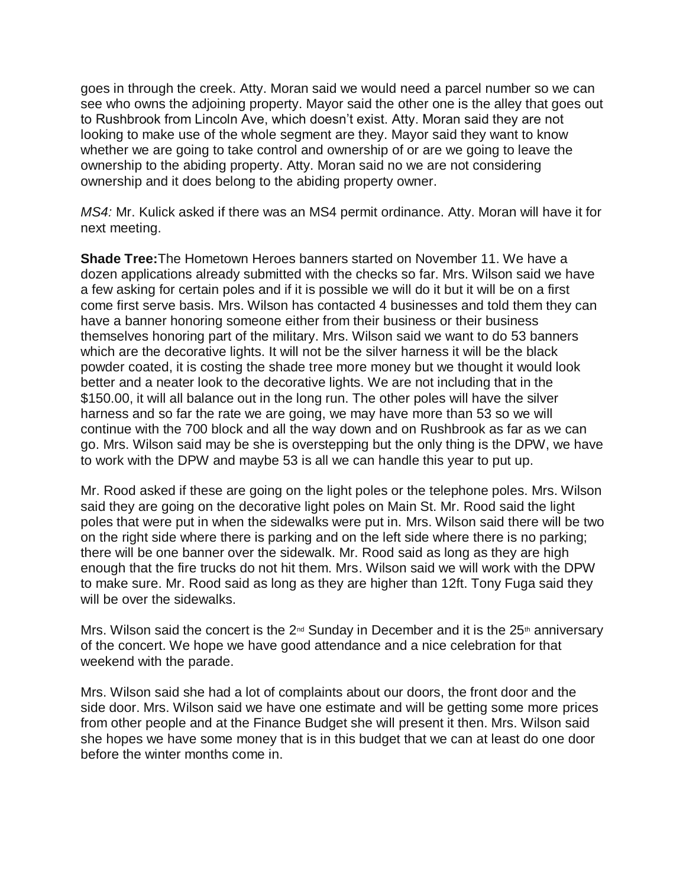goes in through the creek. Atty. Moran said we would need a parcel number so we can see who owns the adjoining property. Mayor said the other one is the alley that goes out to Rushbrook from Lincoln Ave, which doesn't exist. Atty. Moran said they are not looking to make use of the whole segment are they. Mayor said they want to know whether we are going to take control and ownership of or are we going to leave the ownership to the abiding property. Atty. Moran said no we are not considering ownership and it does belong to the abiding property owner.

*MS4:* Mr. Kulick asked if there was an MS4 permit ordinance. Atty. Moran will have it for next meeting.

**Shade Tree:**The Hometown Heroes banners started on November 11. We have a dozen applications already submitted with the checks so far. Mrs. Wilson said we have a few asking for certain poles and if it is possible we will do it but it will be on a first come first serve basis. Mrs. Wilson has contacted 4 businesses and told them they can have a banner honoring someone either from their business or their business themselves honoring part of the military. Mrs. Wilson said we want to do 53 banners which are the decorative lights. It will not be the silver harness it will be the black powder coated, it is costing the shade tree more money but we thought it would look better and a neater look to the decorative lights. We are not including that in the \$150.00, it will all balance out in the long run. The other poles will have the silver harness and so far the rate we are going, we may have more than 53 so we will continue with the 700 block and all the way down and on Rushbrook as far as we can go. Mrs. Wilson said may be she is overstepping but the only thing is the DPW, we have to work with the DPW and maybe 53 is all we can handle this year to put up.

Mr. Rood asked if these are going on the light poles or the telephone poles. Mrs. Wilson said they are going on the decorative light poles on Main St. Mr. Rood said the light poles that were put in when the sidewalks were put in. Mrs. Wilson said there will be two on the right side where there is parking and on the left side where there is no parking; there will be one banner over the sidewalk. Mr. Rood said as long as they are high enough that the fire trucks do not hit them. Mrs. Wilson said we will work with the DPW to make sure. Mr. Rood said as long as they are higher than 12ft. Tony Fuga said they will be over the sidewalks.

Mrs. Wilson said the concert is the  $2^{nd}$  Sunday in December and it is the  $25<sup>th</sup>$  anniversary of the concert. We hope we have good attendance and a nice celebration for that weekend with the parade.

Mrs. Wilson said she had a lot of complaints about our doors, the front door and the side door. Mrs. Wilson said we have one estimate and will be getting some more prices from other people and at the Finance Budget she will present it then. Mrs. Wilson said she hopes we have some money that is in this budget that we can at least do one door before the winter months come in.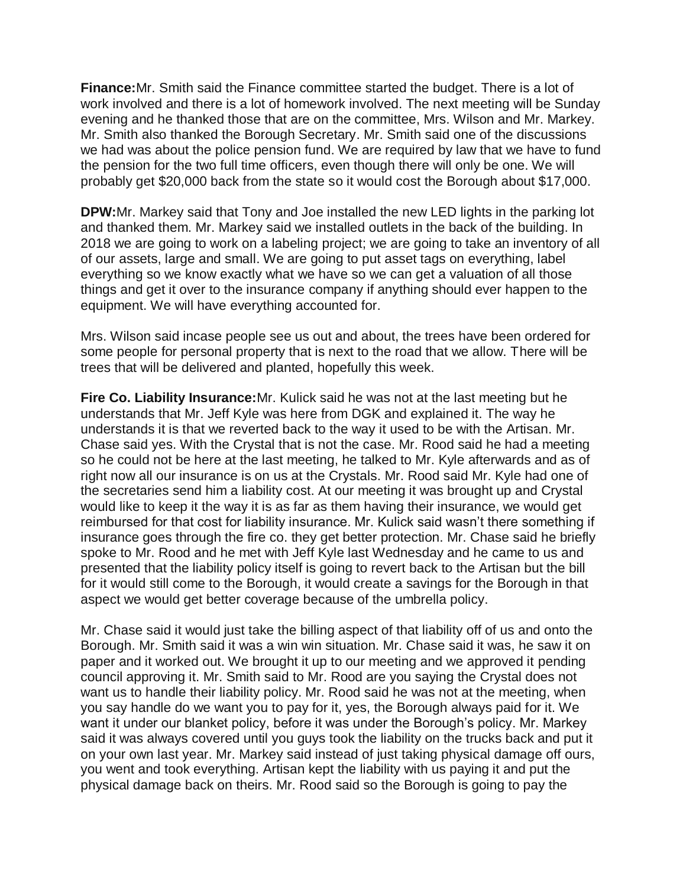**Finance:**Mr. Smith said the Finance committee started the budget. There is a lot of work involved and there is a lot of homework involved. The next meeting will be Sunday evening and he thanked those that are on the committee, Mrs. Wilson and Mr. Markey. Mr. Smith also thanked the Borough Secretary. Mr. Smith said one of the discussions we had was about the police pension fund. We are required by law that we have to fund the pension for the two full time officers, even though there will only be one. We will probably get \$20,000 back from the state so it would cost the Borough about \$17,000.

**DPW:**Mr. Markey said that Tony and Joe installed the new LED lights in the parking lot and thanked them. Mr. Markey said we installed outlets in the back of the building. In 2018 we are going to work on a labeling project; we are going to take an inventory of all of our assets, large and small. We are going to put asset tags on everything, label everything so we know exactly what we have so we can get a valuation of all those things and get it over to the insurance company if anything should ever happen to the equipment. We will have everything accounted for.

Mrs. Wilson said incase people see us out and about, the trees have been ordered for some people for personal property that is next to the road that we allow. There will be trees that will be delivered and planted, hopefully this week.

**Fire Co. Liability Insurance:**Mr. Kulick said he was not at the last meeting but he understands that Mr. Jeff Kyle was here from DGK and explained it. The way he understands it is that we reverted back to the way it used to be with the Artisan. Mr. Chase said yes. With the Crystal that is not the case. Mr. Rood said he had a meeting so he could not be here at the last meeting, he talked to Mr. Kyle afterwards and as of right now all our insurance is on us at the Crystals. Mr. Rood said Mr. Kyle had one of the secretaries send him a liability cost. At our meeting it was brought up and Crystal would like to keep it the way it is as far as them having their insurance, we would get reimbursed for that cost for liability insurance. Mr. Kulick said wasn't there something if insurance goes through the fire co. they get better protection. Mr. Chase said he briefly spoke to Mr. Rood and he met with Jeff Kyle last Wednesday and he came to us and presented that the liability policy itself is going to revert back to the Artisan but the bill for it would still come to the Borough, it would create a savings for the Borough in that aspect we would get better coverage because of the umbrella policy.

Mr. Chase said it would just take the billing aspect of that liability off of us and onto the Borough. Mr. Smith said it was a win win situation. Mr. Chase said it was, he saw it on paper and it worked out. We brought it up to our meeting and we approved it pending council approving it. Mr. Smith said to Mr. Rood are you saying the Crystal does not want us to handle their liability policy. Mr. Rood said he was not at the meeting, when you say handle do we want you to pay for it, yes, the Borough always paid for it. We want it under our blanket policy, before it was under the Borough's policy. Mr. Markey said it was always covered until you guys took the liability on the trucks back and put it on your own last year. Mr. Markey said instead of just taking physical damage off ours, you went and took everything. Artisan kept the liability with us paying it and put the physical damage back on theirs. Mr. Rood said so the Borough is going to pay the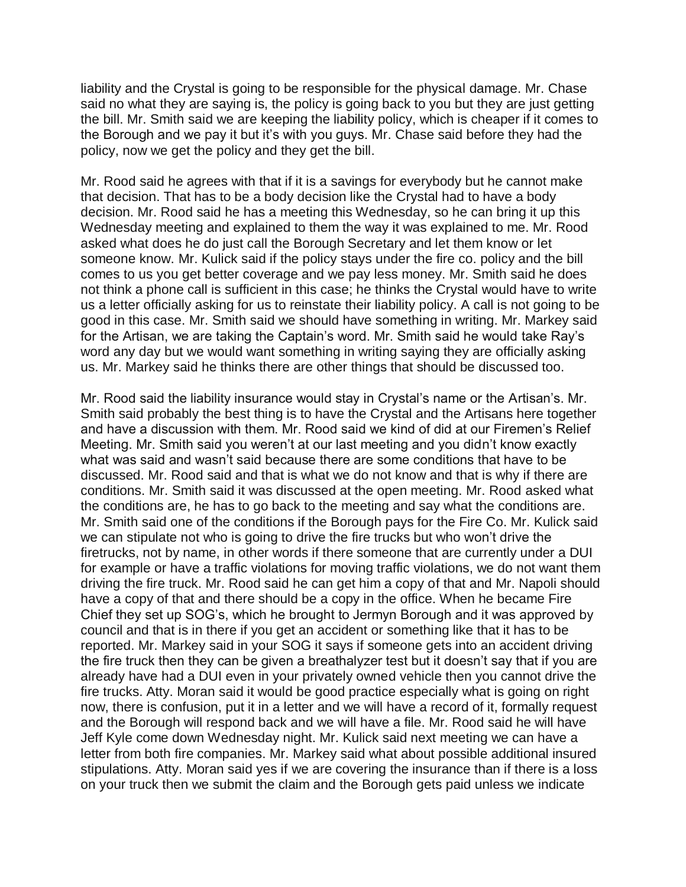liability and the Crystal is going to be responsible for the physical damage. Mr. Chase said no what they are saying is, the policy is going back to you but they are just getting the bill. Mr. Smith said we are keeping the liability policy, which is cheaper if it comes to the Borough and we pay it but it's with you guys. Mr. Chase said before they had the policy, now we get the policy and they get the bill.

Mr. Rood said he agrees with that if it is a savings for everybody but he cannot make that decision. That has to be a body decision like the Crystal had to have a body decision. Mr. Rood said he has a meeting this Wednesday, so he can bring it up this Wednesday meeting and explained to them the way it was explained to me. Mr. Rood asked what does he do just call the Borough Secretary and let them know or let someone know. Mr. Kulick said if the policy stays under the fire co. policy and the bill comes to us you get better coverage and we pay less money. Mr. Smith said he does not think a phone call is sufficient in this case; he thinks the Crystal would have to write us a letter officially asking for us to reinstate their liability policy. A call is not going to be good in this case. Mr. Smith said we should have something in writing. Mr. Markey said for the Artisan, we are taking the Captain's word. Mr. Smith said he would take Ray's word any day but we would want something in writing saying they are officially asking us. Mr. Markey said he thinks there are other things that should be discussed too.

Mr. Rood said the liability insurance would stay in Crystal's name or the Artisan's. Mr. Smith said probably the best thing is to have the Crystal and the Artisans here together and have a discussion with them. Mr. Rood said we kind of did at our Firemen's Relief Meeting. Mr. Smith said you weren't at our last meeting and you didn't know exactly what was said and wasn't said because there are some conditions that have to be discussed. Mr. Rood said and that is what we do not know and that is why if there are conditions. Mr. Smith said it was discussed at the open meeting. Mr. Rood asked what the conditions are, he has to go back to the meeting and say what the conditions are. Mr. Smith said one of the conditions if the Borough pays for the Fire Co. Mr. Kulick said we can stipulate not who is going to drive the fire trucks but who won't drive the firetrucks, not by name, in other words if there someone that are currently under a DUI for example or have a traffic violations for moving traffic violations, we do not want them driving the fire truck. Mr. Rood said he can get him a copy of that and Mr. Napoli should have a copy of that and there should be a copy in the office. When he became Fire Chief they set up SOG's, which he brought to Jermyn Borough and it was approved by council and that is in there if you get an accident or something like that it has to be reported. Mr. Markey said in your SOG it says if someone gets into an accident driving the fire truck then they can be given a breathalyzer test but it doesn't say that if you are already have had a DUI even in your privately owned vehicle then you cannot drive the fire trucks. Atty. Moran said it would be good practice especially what is going on right now, there is confusion, put it in a letter and we will have a record of it, formally request and the Borough will respond back and we will have a file. Mr. Rood said he will have Jeff Kyle come down Wednesday night. Mr. Kulick said next meeting we can have a letter from both fire companies. Mr. Markey said what about possible additional insured stipulations. Atty. Moran said yes if we are covering the insurance than if there is a loss on your truck then we submit the claim and the Borough gets paid unless we indicate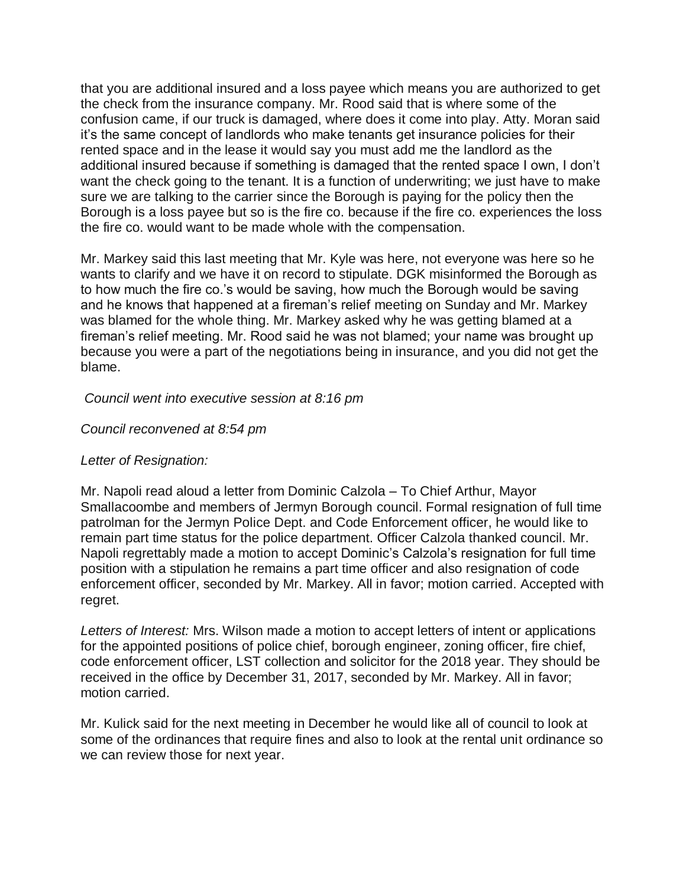that you are additional insured and a loss payee which means you are authorized to get the check from the insurance company. Mr. Rood said that is where some of the confusion came, if our truck is damaged, where does it come into play. Atty. Moran said it's the same concept of landlords who make tenants get insurance policies for their rented space and in the lease it would say you must add me the landlord as the additional insured because if something is damaged that the rented space I own, I don't want the check going to the tenant. It is a function of underwriting; we just have to make sure we are talking to the carrier since the Borough is paying for the policy then the Borough is a loss payee but so is the fire co. because if the fire co. experiences the loss the fire co. would want to be made whole with the compensation.

Mr. Markey said this last meeting that Mr. Kyle was here, not everyone was here so he wants to clarify and we have it on record to stipulate. DGK misinformed the Borough as to how much the fire co.'s would be saving, how much the Borough would be saving and he knows that happened at a fireman's relief meeting on Sunday and Mr. Markey was blamed for the whole thing. Mr. Markey asked why he was getting blamed at a fireman's relief meeting. Mr. Rood said he was not blamed; your name was brought up because you were a part of the negotiations being in insurance, and you did not get the blame.

## *Council went into executive session at 8:16 pm*

# *Council reconvened at 8:54 pm*

## *Letter of Resignation:*

Mr. Napoli read aloud a letter from Dominic Calzola – To Chief Arthur, Mayor Smallacoombe and members of Jermyn Borough council. Formal resignation of full time patrolman for the Jermyn Police Dept. and Code Enforcement officer, he would like to remain part time status for the police department. Officer Calzola thanked council. Mr. Napoli regrettably made a motion to accept Dominic's Calzola's resignation for full time position with a stipulation he remains a part time officer and also resignation of code enforcement officer, seconded by Mr. Markey. All in favor; motion carried. Accepted with regret.

*Letters of Interest:* Mrs. Wilson made a motion to accept letters of intent or applications for the appointed positions of police chief, borough engineer, zoning officer, fire chief, code enforcement officer, LST collection and solicitor for the 2018 year. They should be received in the office by December 31, 2017, seconded by Mr. Markey. All in favor; motion carried.

Mr. Kulick said for the next meeting in December he would like all of council to look at some of the ordinances that require fines and also to look at the rental unit ordinance so we can review those for next year.